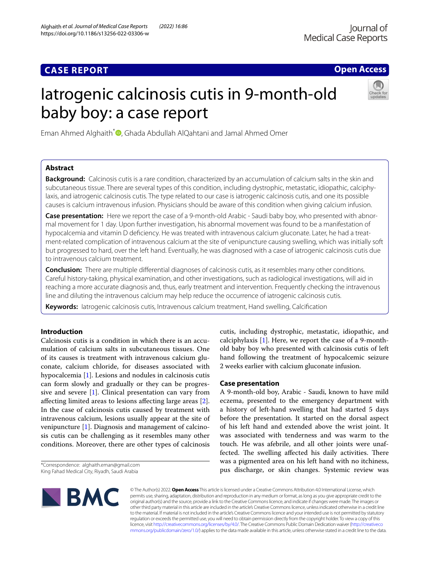# **CASE REPORT**

## **Open Access**

# Iatrogenic calcinosis cutis in 9-month-old baby boy: a case report



Eman Ahmed Alghaith<sup>\*</sup> [,](http://orcid.org/0000-0003-0072-3607) Ghada Abdullah AlQahtani and Jamal Ahmed Omer

## **Abstract**

**Background:** Calcinosis cutis is a rare condition, characterized by an accumulation of calcium salts in the skin and subcutaneous tissue. There are several types of this condition, including dystrophic, metastatic, idiopathic, calciphylaxis, and iatrogenic calcinosis cutis. The type related to our case is iatrogenic calcinosis cutis, and one its possible causes is calcium intravenous infusion. Physicians should be aware of this condition when giving calcium infusion.

**Case presentation:** Here we report the case of a 9-month-old Arabic - Saudi baby boy, who presented with abnormal movement for 1 day. Upon further investigation, his abnormal movement was found to be a manifestation of hypocalcemia and vitamin D defciency. He was treated with intravenous calcium gluconate. Later, he had a treatment-related complication of intravenous calcium at the site of venipuncture causing swelling, which was initially soft but progressed to hard, over the left hand. Eventually, he was diagnosed with a case of iatrogenic calcinosis cutis due to intravenous calcium treatment.

**Conclusion:** There are multiple diferential diagnoses of calcinosis cutis, as it resembles many other conditions. Careful history-taking, physical examination, and other investigations, such as radiological investigations, will aid in reaching a more accurate diagnosis and, thus, early treatment and intervention. Frequently checking the intravenous line and diluting the intravenous calcium may help reduce the occurrence of iatrogenic calcinosis cutis.

**Keywords:** Iatrogenic calcinosis cutis, Intravenous calcium treatment, Hand swelling, Calcifcation

## **Introduction**

Calcinosis cutis is a condition in which there is an accumulation of calcium salts in subcutaneous tissues. One of its causes is treatment with intravenous calcium gluconate, calcium chloride, for diseases associated with hypocalcemia [[1\]](#page-4-0). Lesions and nodules in calcinosis cutis can form slowly and gradually or they can be progressive and severe [[1\]](#page-4-0). Clinical presentation can vary from afecting limited areas to lesions afecting large areas [\[2](#page-4-1)]. In the case of calcinosis cutis caused by treatment with intravenous calcium, lesions usually appear at the site of venipuncture [[1\]](#page-4-0). Diagnosis and management of calcinosis cutis can be challenging as it resembles many other conditions. Moreover, there are other types of calcinosis

<sup>\*</sup>Correspondence: alghaith.eman@gmail.com King Fahad Medical City, Riyadh, Saudi Arabia



cutis, including dystrophic, metastatic, idiopathic, and calciphylaxis [\[1\]](#page-4-0). Here, we report the case of a 9-monthold baby boy who presented with calcinosis cutis of left hand following the treatment of hypocalcemic seizure 2 weeks earlier with calcium gluconate infusion.

## **Case presentation**

A 9-month-old boy, Arabic - Saudi, known to have mild eczema, presented to the emergency department with a history of left-hand swelling that had started 5 days before the presentation. It started on the dorsal aspect of his left hand and extended above the wrist joint. It was associated with tenderness and was warm to the touch. He was afebrile, and all other joints were unaffected. The swelling affected his daily activities. There was a pigmented area on his left hand with no itchiness, pus discharge, or skin changes. Systemic review was

© The Author(s) 2022. **Open Access** This article is licensed under a Creative Commons Attribution 4.0 International License, which permits use, sharing, adaptation, distribution and reproduction in any medium or format, as long as you give appropriate credit to the original author(s) and the source, provide a link to the Creative Commons licence, and indicate if changes were made. The images or other third party material in this article are included in the article's Creative Commons licence, unless indicated otherwise in a credit line to the material. If material is not included in the article's Creative Commons licence and your intended use is not permitted by statutory regulation or exceeds the permitted use, you will need to obtain permission directly from the copyright holder. To view a copy of this licence, visit [http://creativecommons.org/licenses/by/4.0/.](http://creativecommons.org/licenses/by/4.0/) The Creative Commons Public Domain Dedication waiver ([http://creativeco](http://creativecommons.org/publicdomain/zero/1.0/) [mmons.org/publicdomain/zero/1.0/](http://creativecommons.org/publicdomain/zero/1.0/)) applies to the data made available in this article, unless otherwise stated in a credit line to the data.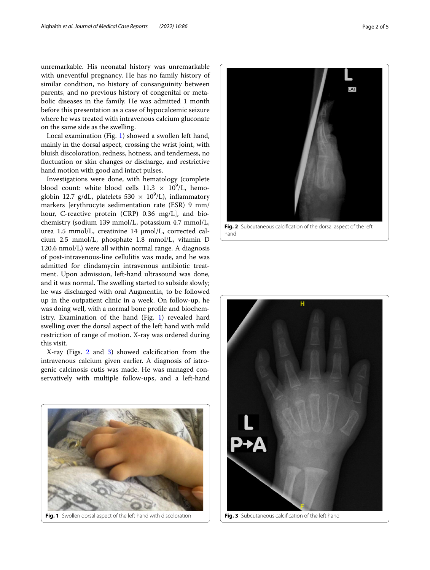unremarkable. His neonatal history was unremarkable with uneventful pregnancy. He has no family history of similar condition, no history of consanguinity between parents, and no previous history of congenital or metabolic diseases in the family. He was admitted 1 month before this presentation as a case of hypocalcemic seizure where he was treated with intravenous calcium gluconate on the same side as the swelling.

Local examination (Fig. [1\)](#page-1-0) showed a swollen left hand, mainly in the dorsal aspect, crossing the wrist joint, with bluish discoloration, redness, hotness, and tenderness, no fuctuation or skin changes or discharge, and restrictive hand motion with good and intact pulses.

Investigations were done, with hematology (complete blood count: white blood cells  $11.3 \times 10^9$ /L, hemoglobin 12.7 g/dL, platelets  $530 \times 10^9$ /L), inflammatory markers [erythrocyte sedimentation rate (ESR) 9 mm/ hour, C-reactive protein (CRP) 0.36 mg/L], and biochemistry (sodium 139 mmol/L, potassium 4.7 mmol/L, urea 1.5 mmol/L, creatinine 14 μmol/L, corrected calcium 2.5 mmol/L, phosphate 1.8 mmol/L, vitamin D 120.6 nmol/L) were all within normal range. A diagnosis of post-intravenous-line cellulitis was made, and he was admitted for clindamycin intravenous antibiotic treatment. Upon admission, left-hand ultrasound was done, and it was normal. The swelling started to subside slowly; he was discharged with oral Augmentin, to be followed up in the outpatient clinic in a week. On follow-up, he was doing well, with a normal bone profle and biochemistry. Examination of the hand (Fig. [1](#page-1-0)) revealed hard swelling over the dorsal aspect of the left hand with mild restriction of range of motion. X-ray was ordered during this visit.

X-ray (Figs. [2](#page-1-1) and [3\)](#page-1-2) showed calcifcation from the intravenous calcium given earlier. A diagnosis of iatrogenic calcinosis cutis was made. He was managed conservatively with multiple follow-ups, and a left-hand

<span id="page-1-0"></span>

LAT **Fig. 2** Subcutaneous calcifcation of the dorsal aspect of the left

<span id="page-1-1"></span>hand

<span id="page-1-2"></span>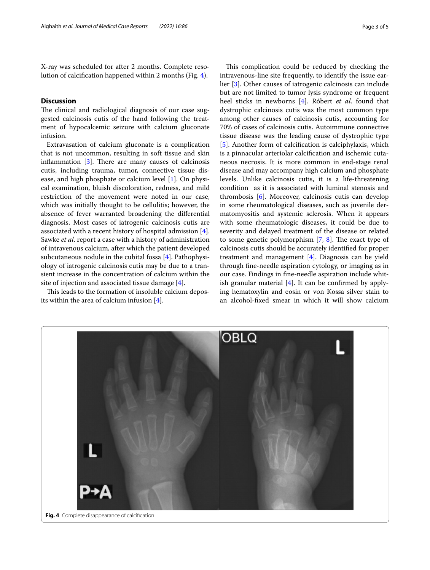X-ray was scheduled for after 2 months. Complete resolution of calcifcation happened within 2 months (Fig. [4\)](#page-2-0).

## **Discussion**

The clinical and radiological diagnosis of our case suggested calcinosis cutis of the hand following the treatment of hypocalcemic seizure with calcium gluconate infusion.

Extravasation of calcium gluconate is a complication that is not uncommon, resulting in soft tissue and skin inflammation  $[3]$  $[3]$ . There are many causes of calcinosis cutis, including trauma, tumor, connective tissue disease, and high phosphate or calcium level [[1\]](#page-4-0). On physical examination, bluish discoloration, redness, and mild restriction of the movement were noted in our case, which was initially thought to be cellulitis; however, the absence of fever warranted broadening the diferential diagnosis. Most cases of iatrogenic calcinosis cutis are associated with a recent history of hospital admission [\[4](#page-4-3)]. Sawke *et al*. report a case with a history of administration of intravenous calcium, after which the patient developed subcutaneous nodule in the cubital fossa [[4\]](#page-4-3). Pathophysiology of iatrogenic calcinosis cutis may be due to a transient increase in the concentration of calcium within the site of injection and associated tissue damage  $[4]$  $[4]$  $[4]$ .

This leads to the formation of insoluble calcium deposits within the area of calcium infusion [\[4](#page-4-3)].

This complication could be reduced by checking the intravenous-line site frequently, to identify the issue earlier [\[3](#page-4-2)]. Other causes of iatrogenic calcinosis can include but are not limited to tumor lysis syndrome or frequent heel sticks in newborns [[4\]](#page-4-3). Róbert *et al*. found that dystrophic calcinosis cutis was the most common type among other causes of calcinosis cutis, accounting for 70% of cases of calcinosis cutis. Autoimmune connective tissue disease was the leading cause of dystrophic type [[5\]](#page-4-4). Another form of calcifcation is calciphylaxis, which is a pinnacular arteriolar calcifcation and ischemic cutaneous necrosis. It is more common in end-stage renal disease and may accompany high calcium and phosphate levels. Unlike calcinosis cutis, it is a life-threatening condition as it is associated with luminal stenosis and thrombosis [[6\]](#page-4-5). Moreover, calcinosis cutis can develop in some rheumatological diseases, such as juvenile dermatomyositis and systemic sclerosis. When it appears with some rheumatologic diseases, it could be due to severity and delayed treatment of the disease or related to some genetic polymorphism  $[7, 8]$  $[7, 8]$  $[7, 8]$ . The exact type of calcinosis cutis should be accurately identifed for proper treatment and management [[4](#page-4-3)]. Diagnosis can be yield through fne-needle aspiration cytology, or imaging as in our case. Findings in fne-needle aspiration include whitish granular material  $[4]$  $[4]$ . It can be confirmed by applying hematoxylin and eosin or von Kossa silver stain to an alcohol-fxed smear in which it will show calcium

<span id="page-2-0"></span>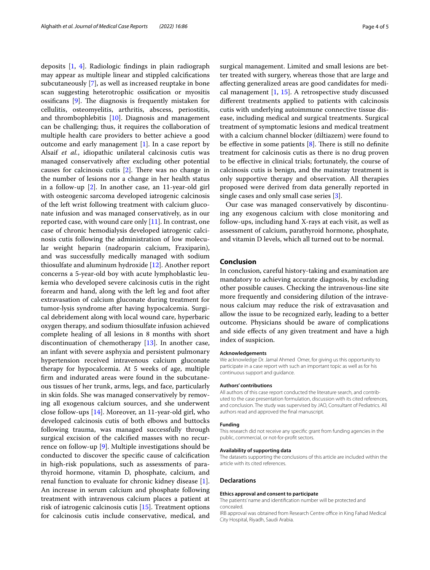deposits [\[1](#page-4-0), [4](#page-4-3)]. Radiologic fndings in plain radiograph may appear as multiple linear and stippled calcifcations subcutaneously [[7\]](#page-4-6), as well as increased reuptake in bone scan suggesting heterotrophic ossifcation or myositis ossificans  $[9]$  $[9]$ . The diagnosis is frequently mistaken for cellulitis, osteomyelitis, arthritis, abscess, periostitis, and thrombophlebitis [[10](#page-4-9)]. Diagnosis and management can be challenging; thus, it requires the collaboration of multiple health care providers to better achieve a good outcome and early management [\[1](#page-4-0)]. In a case report by Alsaif *et al.*, idiopathic unilateral calcinosis cutis was managed conservatively after excluding other potential causes for calcinosis cutis  $[2]$  $[2]$ . There was no change in the number of lesions nor a change in her health status in a follow-up [\[2](#page-4-1)]. In another case, an 11-year-old girl with osteogenic sarcoma developed iatrogenic calcinosis of the left wrist following treatment with calcium gluconate infusion and was managed conservatively, as in our reported case, with wound care only [\[11\]](#page-4-10). In contrast, one case of chronic hemodialysis developed iatrogenic calcinosis cutis following the administration of low molecular weight heparin (nadroparin calcium, Fraxiparin), and was successfully medically managed with sodium thiosulfate and aluminum hydroxide [\[12](#page-4-11)]. Another report concerns a 5‐year‐old boy with acute lymphoblastic leukemia who developed severe calcinosis cutis in the right forearm and hand, along with the left leg and foot after extravasation of calcium gluconate during treatment for tumor‐lysis syndrome after having hypocalcemia. Surgical debridement along with local wound care, hyperbaric oxygen therapy, and sodium thiosulfate infusion achieved complete healing of all lesions in 8 months with short discontinuation of chemotherapy [[13\]](#page-4-12). In another case, an infant with severe asphyxia and persistent pulmonary hypertension received intravenous calcium gluconate therapy for hypocalcemia. At 5 weeks of age, multiple frm and indurated areas were found in the subcutaneous tissues of her trunk, arms, legs, and face, particularly in skin folds. She was managed conservatively by removing all exogenous calcium sources, and she underwent close follow-ups [\[14](#page-4-13)]. Moreover, an 11-year-old girl, who developed calcinosis cutis of both elbows and buttocks following trauma, was managed successfully through surgical excision of the calcifed masses with no recurrence on follow-up [[9\]](#page-4-8). Multiple investigations should be conducted to discover the specifc cause of calcifcation in high-risk populations, such as assessments of parathyroid hormone, vitamin D, phosphate, calcium, and renal function to evaluate for chronic kidney disease [\[1](#page-4-0)]. An increase in serum calcium and phosphate following treatment with intravenous calcium places a patient at risk of iatrogenic calcinosis cutis [\[15](#page-4-14)]. Treatment options for calcinosis cutis include conservative, medical, and surgical management. Limited and small lesions are better treated with surgery, whereas those that are large and afecting generalized areas are good candidates for medical management [[1,](#page-4-0) [15\]](#page-4-14). A retrospective study discussed diferent treatments applied to patients with calcinosis cutis with underlying autoimmune connective tissue disease, including medical and surgical treatments. Surgical treatment of symptomatic lesions and medical treatment with a calcium channel blocker (diltiazem) were found to be effective in some patients  $[8]$ . There is still no definite treatment for calcinosis cutis as there is no drug proven to be efective in clinical trials; fortunately, the course of calcinosis cutis is benign, and the mainstay treatment is only supportive therapy and observation. All therapies proposed were derived from data generally reported in single cases and only small case series [[3\]](#page-4-2).

Our case was managed conservatively by discontinuing any exogenous calcium with close monitoring and follow-ups, including hand X-rays at each visit, as well as assessment of calcium, parathyroid hormone, phosphate, and vitamin D levels, which all turned out to be normal.

#### **Conclusion**

In conclusion, careful history-taking and examination are mandatory to achieving accurate diagnosis, by excluding other possible causes. Checking the intravenous-line site more frequently and considering dilution of the intravenous calcium may reduce the risk of extravasation and allow the issue to be recognized early, leading to a better outcome. Physicians should be aware of complications and side efects of any given treatment and have a high index of suspicion.

#### **Acknowledgements**

We acknowledge Dr. Jamal Ahmed Omer, for giving us this opportunity to participate in a case report with such an important topic as well as for his continuous support and guidance.

#### **Authors' contributions**

All authors of this case report conducted the literature search, and contributed to the case presentation formulation, discussion with its cited references, and conclusion. The study was supervised by JAO, Consultant of Pediatrics. All authors read and approved the fnal manuscript.

#### **Funding**

This research did not receive any specifc grant from funding agencies in the public, commercial, or not-for-proft sectors.

#### **Availability of supporting data**

The datasets supporting the conclusions of this article are included within the article with its cited references.

#### **Declarations**

#### **Ethics approval and consent to participate**

The patients' name and identifcation number will be protected and concealed.

IRB approval was obtained from Research Centre office in King Fahad Medical City Hospital, Riyadh, Saudi Arabia.